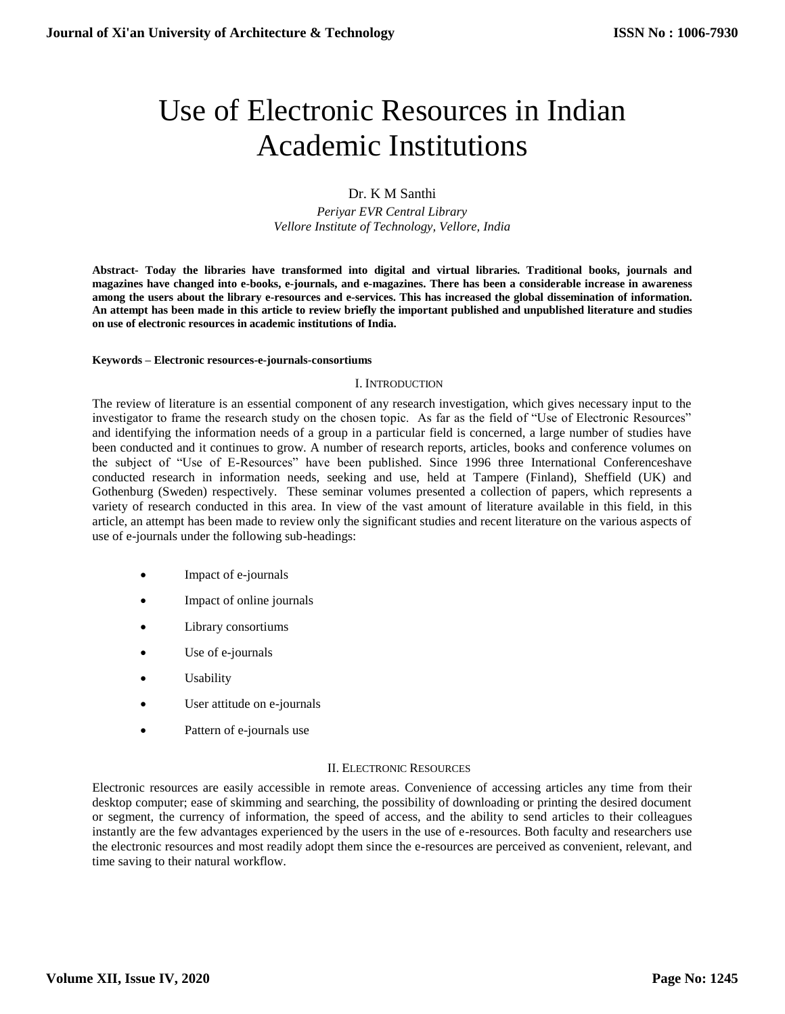# Use of Electronic Resources in Indian Academic Institutions

# Dr. K M Santhi

*Periyar EVR Central Library Vellore Institute of Technology, Vellore, India*

**Abstract- Today the libraries have transformed into digital and virtual libraries. Traditional books, journals and magazines have changed into e-books, e-journals, and e-magazines. There has been a considerable increase in awareness among the users about the library e-resources and e-services. This has increased the global dissemination of information. An attempt has been made in this article to review briefly the important published and unpublished literature and studies on use of electronic resources in academic institutions of India.**

#### **Keywords – Electronic resources-e-journals-consortiums**

## I. INTRODUCTION

The review of literature is an essential component of any research investigation, which gives necessary input to the investigator to frame the research study on the chosen topic. As far as the field of "Use of Electronic Resources" and identifying the information needs of a group in a particular field is concerned, a large number of studies have been conducted and it continues to grow. A number of research reports, articles, books and conference volumes on the subject of "Use of E-Resources" have been published. Since 1996 three International Conferenceshave conducted research in information needs, seeking and use, held at Tampere (Finland), Sheffield (UK) and Gothenburg (Sweden) respectively. These seminar volumes presented a collection of papers, which represents a variety of research conducted in this area. In view of the vast amount of literature available in this field, in this article, an attempt has been made to review only the significant studies and recent literature on the various aspects of use of e-journals under the following sub-headings:

- Impact of e-journals
- Impact of online journals
- Library consortiums
- Use of e-journals
- Usability
- User attitude on e-journals
- Pattern of e-journals use

## II. ELECTRONIC RESOURCES

Electronic resources are easily accessible in remote areas. Convenience of accessing articles any time from their desktop computer; ease of skimming and searching, the possibility of downloading or printing the desired document or segment, the currency of information, the speed of access, and the ability to send articles to their colleagues instantly are the few advantages experienced by the users in the use of e-resources. Both faculty and researchers use the electronic resources and most readily adopt them since the e-resources are perceived as convenient, relevant, and time saving to their natural workflow.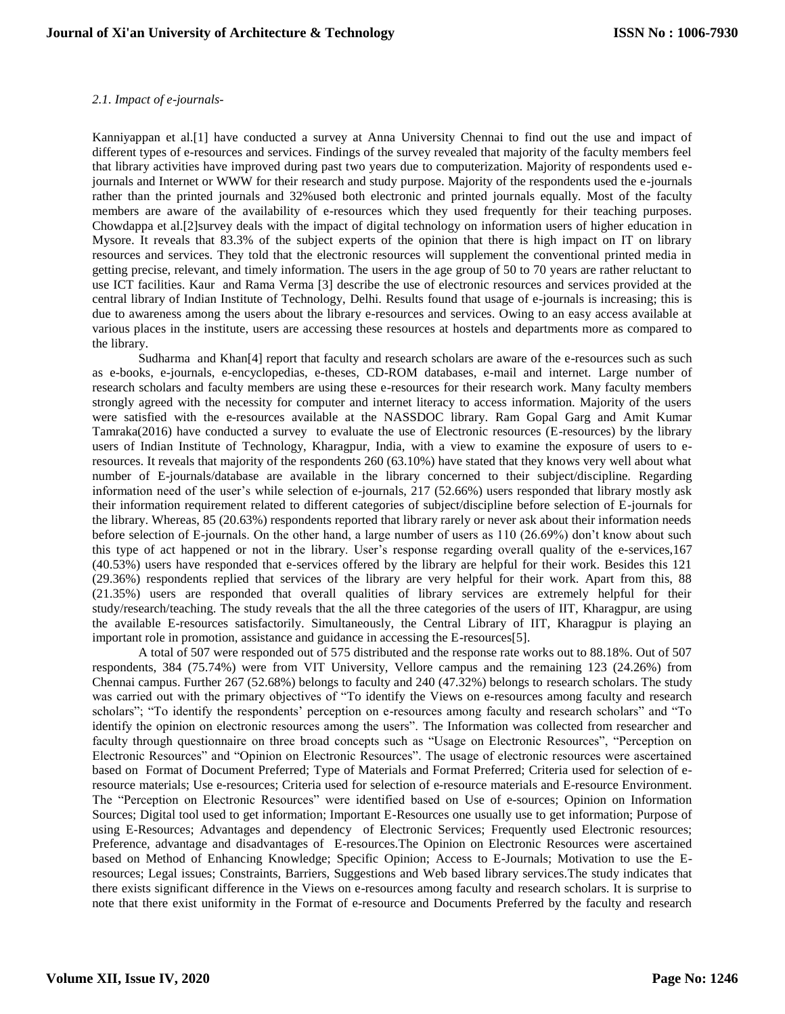### *2.1. Impact of e-journals-*

Kanniyappan et al.[1] have conducted a survey at Anna University Chennai to find out the use and impact of different types of e-resources and services. Findings of the survey revealed that majority of the faculty members feel that library activities have improved during past two years due to computerization. Majority of respondents used ejournals and Internet or WWW for their research and study purpose. Majority of the respondents used the e-journals rather than the printed journals and 32%used both electronic and printed journals equally. Most of the faculty members are aware of the availability of e-resources which they used frequently for their teaching purposes. Chowdappa et al.[2]survey deals with the impact of digital technology on information users of higher education in Mysore. It reveals that 83.3% of the subject experts of the opinion that there is high impact on IT on library resources and services. They told that the electronic resources will supplement the conventional printed media in getting precise, relevant, and timely information. The users in the age group of 50 to 70 years are rather reluctant to use ICT facilities. Kaur and Rama Verma [3] describe the use of electronic resources and services provided at the central library of Indian Institute of Technology, Delhi. Results found that usage of e-journals is increasing; this is due to awareness among the users about the library e-resources and services. Owing to an easy access available at various places in the institute, users are accessing these resources at hostels and departments more as compared to the library.

Sudharma and Khan[4] report that faculty and research scholars are aware of the e-resources such as such as e-books, e-journals, e-encyclopedias, e-theses, CD-ROM databases, e-mail and internet. Large number of research scholars and faculty members are using these e-resources for their research work. Many faculty members strongly agreed with the necessity for computer and internet literacy to access information. Majority of the users were satisfied with the e-resources available at the NASSDOC library. Ram Gopal Garg and Amit Kumar Tamraka(2016) have conducted a survey to evaluate the use of Electronic resources (E-resources) by the library users of Indian Institute of Technology, Kharagpur, India, with a view to examine the exposure of users to eresources. It reveals that majority of the respondents 260 (63.10%) have stated that they knows very well about what number of E-journals/database are available in the library concerned to their subject/discipline. Regarding information need of the user's while selection of e-journals, 217 (52.66%) users responded that library mostly ask their information requirement related to different categories of subject/discipline before selection of E-journals for the library. Whereas, 85 (20.63%) respondents reported that library rarely or never ask about their information needs before selection of E-journals. On the other hand, a large number of users as 110 (26.69%) don't know about such this type of act happened or not in the library. User's response regarding overall quality of the e-services,167 (40.53%) users have responded that e-services offered by the library are helpful for their work. Besides this 121 (29.36%) respondents replied that services of the library are very helpful for their work. Apart from this, 88 (21.35%) users are responded that overall qualities of library services are extremely helpful for their study/research/teaching. The study reveals that the all the three categories of the users of IIT, Kharagpur, are using the available E-resources satisfactorily. Simultaneously, the Central Library of IIT, Kharagpur is playing an important role in promotion, assistance and guidance in accessing the E-resources[5].

A total of 507 were responded out of 575 distributed and the response rate works out to 88.18%. Out of 507 respondents, 384 (75.74%) were from VIT University, Vellore campus and the remaining 123 (24.26%) from Chennai campus. Further 267 (52.68%) belongs to faculty and 240 (47.32%) belongs to research scholars. The study was carried out with the primary objectives of "To identify the Views on e-resources among faculty and research scholars"; "To identify the respondents' perception on e-resources among faculty and research scholars" and "To identify the opinion on electronic resources among the users". The Information was collected from researcher and faculty through questionnaire on three broad concepts such as "Usage on Electronic Resources", "Perception on Electronic Resources" and "Opinion on Electronic Resources". The usage of electronic resources were ascertained based on Format of Document Preferred; Type of Materials and Format Preferred; Criteria used for selection of eresource materials; Use e-resources; Criteria used for selection of e-resource materials and E-resource Environment. The "Perception on Electronic Resources" were identified based on Use of e-sources; Opinion on Information Sources; Digital tool used to get information; Important E-Resources one usually use to get information; Purpose of using E-Resources; Advantages and dependency of Electronic Services; Frequently used Electronic resources; Preference, advantage and disadvantages of E-resources.The Opinion on Electronic Resources were ascertained based on Method of Enhancing Knowledge; Specific Opinion; Access to E-Journals; Motivation to use the Eresources; Legal issues; Constraints, Barriers, Suggestions and Web based library services.The study indicates that there exists significant difference in the Views on e-resources among faculty and research scholars. It is surprise to note that there exist uniformity in the Format of e-resource and Documents Preferred by the faculty and research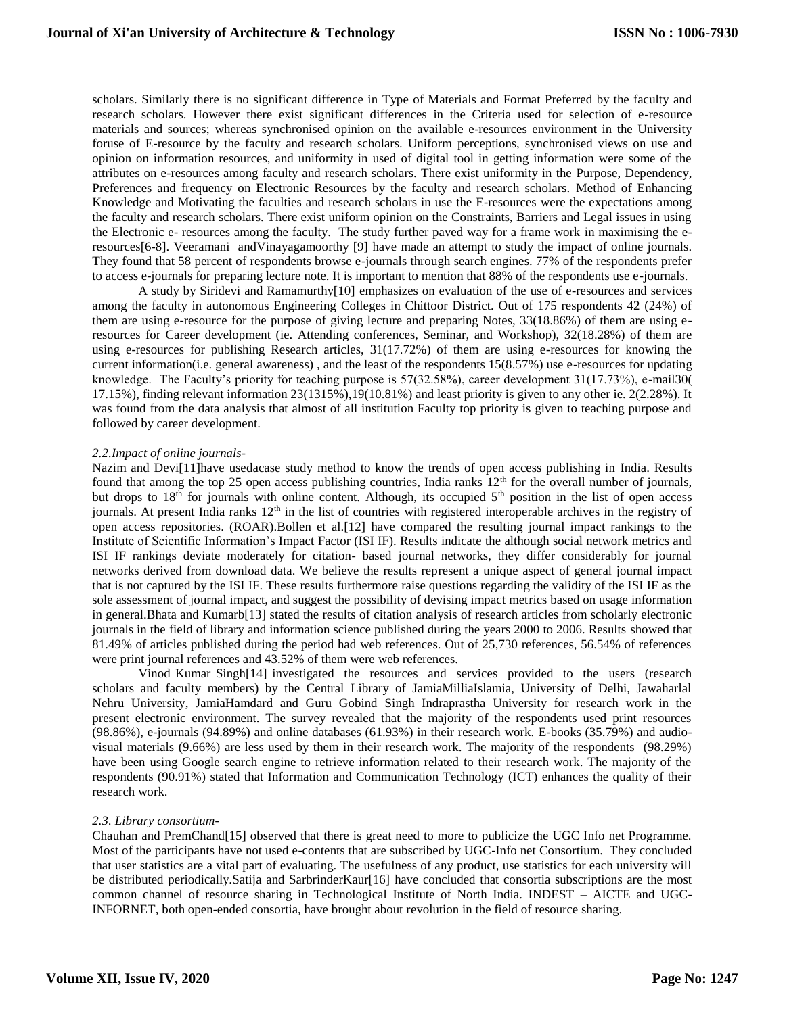scholars. Similarly there is no significant difference in Type of Materials and Format Preferred by the faculty and research scholars. However there exist significant differences in the Criteria used for selection of e-resource materials and sources; whereas synchronised opinion on the available e-resources environment in the University foruse of E-resource by the faculty and research scholars. Uniform perceptions, synchronised views on use and opinion on information resources, and uniformity in used of digital tool in getting information were some of the attributes on e-resources among faculty and research scholars. There exist uniformity in the Purpose, Dependency, Preferences and frequency on Electronic Resources by the faculty and research scholars. Method of Enhancing Knowledge and Motivating the faculties and research scholars in use the E-resources were the expectations among the faculty and research scholars. There exist uniform opinion on the Constraints, Barriers and Legal issues in using the Electronic e- resources among the faculty. The study further paved way for a frame work in maximising the eresources[6-8]. Veeramani andVinayagamoorthy [9] have made an attempt to study the impact of online journals. They found that 58 percent of respondents browse e-journals through search engines. 77% of the respondents prefer to access e-journals for preparing lecture note. It is important to mention that 88% of the respondents use e-journals.

A study by Siridevi and Ramamurthy[10] emphasizes on evaluation of the use of e-resources and services among the faculty in autonomous Engineering Colleges in Chittoor District. Out of 175 respondents 42 (24%) of them are using e-resource for the purpose of giving lecture and preparing Notes, 33(18.86%) of them are using eresources for Career development (ie. Attending conferences, Seminar, and Workshop), 32(18.28%) of them are using e-resources for publishing Research articles, 31(17.72%) of them are using e-resources for knowing the current information(i.e. general awareness) , and the least of the respondents 15(8.57%) use e-resources for updating knowledge. The Faculty's priority for teaching purpose is 57(32.58%), career development 31(17.73%), e-mail30( 17.15%), finding relevant information 23(1315%),19(10.81%) and least priority is given to any other ie. 2(2.28%). It was found from the data analysis that almost of all institution Faculty top priority is given to teaching purpose and followed by career development.

#### *2.2.Impact of online journals-*

Nazim and Devi[11]have usedacase study method to know the trends of open access publishing in India. Results found that among the top 25 open access publishing countries, India ranks  $12<sup>th</sup>$  for the overall number of journals, but drops to 18<sup>th</sup> for journals with online content. Although, its occupied 5<sup>th</sup> position in the list of open access journals. At present India ranks  $12<sup>th</sup>$  in the list of countries with registered interoperable archives in the registry of open access repositories. (ROAR).Bollen et al.[12] have compared the resulting journal impact rankings to the Institute of Scientific Information's Impact Factor (ISI IF). Results indicate the although social network metrics and ISI IF rankings deviate moderately for citation- based journal networks, they differ considerably for journal networks derived from download data. We believe the results represent a unique aspect of general journal impact that is not captured by the ISI IF. These results furthermore raise questions regarding the validity of the ISI IF as the sole assessment of journal impact, and suggest the possibility of devising impact metrics based on usage information in general.Bhata and Kumarb[13] stated the results of citation analysis of research articles from scholarly electronic journals in the field of library and information science published during the years 2000 to 2006. Results showed that 81.49% of articles published during the period had web references. Out of 25,730 references, 56.54% of references were print journal references and 43.52% of them were web references.

Vinod Kumar Singh[14] investigated the resources and services provided to the users (research scholars and faculty members) by the Central Library of JamiaMilliaIslamia, University of Delhi, Jawaharlal Nehru University, JamiaHamdard and Guru Gobind Singh Indraprastha University for research work in the present electronic environment. The survey revealed that the majority of the respondents used print resources (98.86%), e-journals (94.89%) and online databases (61.93%) in their research work. E-books (35.79%) and audiovisual materials (9.66%) are less used by them in their research work. The majority of the respondents (98.29%) have been using Google search engine to retrieve information related to their research work. The majority of the respondents (90.91%) stated that Information and Communication Technology (ICT) enhances the quality of their research work.

#### *2.3. Library consortium-*

Chauhan and PremChand[15] observed that there is great need to more to publicize the UGC Info net Programme. Most of the participants have not used e-contents that are subscribed by UGC-Info net Consortium. They concluded that user statistics are a vital part of evaluating. The usefulness of any product, use statistics for each university will be distributed periodically.Satija and SarbrinderKaur[16] have concluded that consortia subscriptions are the most common channel of resource sharing in Technological Institute of North India. INDEST – AICTE and UGC-INFORNET, both open-ended consortia, have brought about revolution in the field of resource sharing.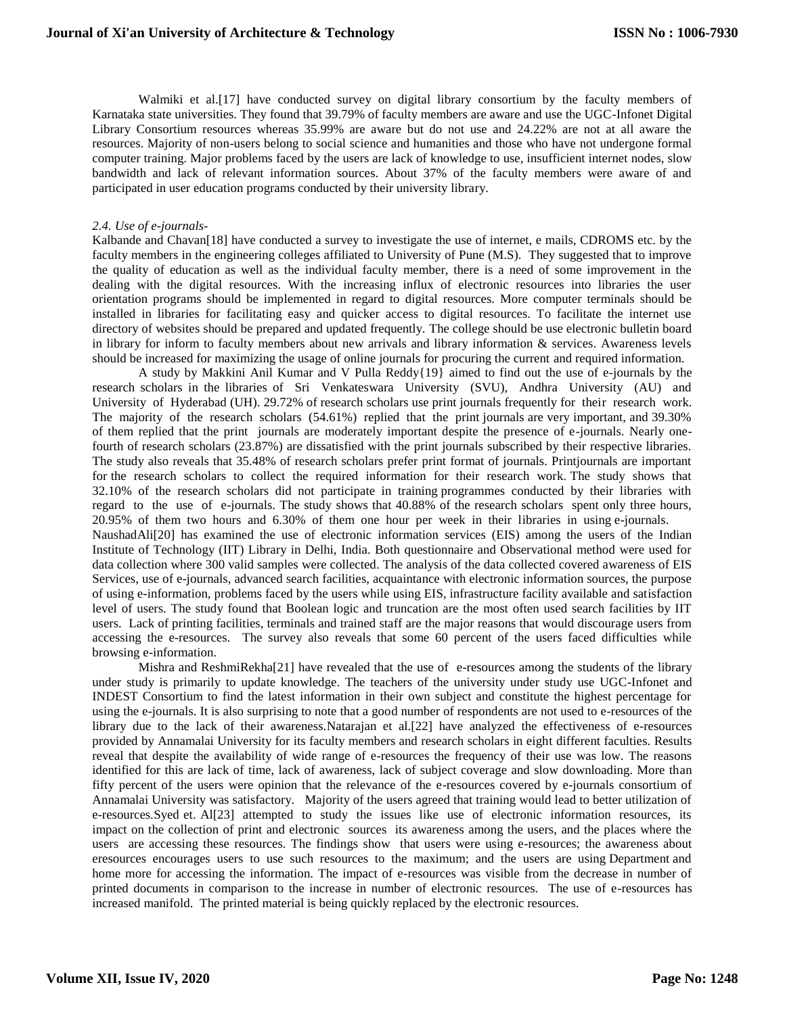Walmiki et al.[17] have conducted survey on digital library consortium by the faculty members of Karnataka state universities. They found that 39.79% of faculty members are aware and use the UGC-Infonet Digital Library Consortium resources whereas 35.99% are aware but do not use and 24.22% are not at all aware the resources. Majority of non-users belong to social science and humanities and those who have not undergone formal computer training. Major problems faced by the users are lack of knowledge to use, insufficient internet nodes, slow bandwidth and lack of relevant information sources. About 37% of the faculty members were aware of and participated in user education programs conducted by their university library.

#### *2.4. Use of e-journals-*

Kalbande and Chavan<sup>[18]</sup> have conducted a survey to investigate the use of internet, e mails, CDROMS etc. by the faculty members in the engineering colleges affiliated to University of Pune (M.S). They suggested that to improve the quality of education as well as the individual faculty member, there is a need of some improvement in the dealing with the digital resources. With the increasing influx of electronic resources into libraries the user orientation programs should be implemented in regard to digital resources. More computer terminals should be installed in libraries for facilitating easy and quicker access to digital resources. To facilitate the internet use directory of websites should be prepared and updated frequently. The college should be use electronic bulletin board in library for inform to faculty members about new arrivals and library information & services. Awareness levels should be increased for maximizing the usage of online journals for procuring the current and required information.

A study by Makkini Anil Kumar and V Pulla Reddy{19} aimed to find out the use of e-journals by the research scholars in the libraries of Sri Venkateswara University (SVU), Andhra University (AU) and University of Hyderabad (UH). 29.72% of research scholars use print journals frequently for their research work. The majority of the research scholars (54.61%) replied that the print journals are very important, and 39.30% of them replied that the print journals are moderately important despite the presence of e-journals. Nearly onefourth of research scholars (23.87%) are dissatisfied with the print journals subscribed by their respective libraries. The study also reveals that 35.48% of research scholars prefer print format of journals. Printjournals are important for the research scholars to collect the required information for their research work. The study shows that 32.10% of the research scholars did not participate in training programmes conducted by their libraries with regard to the use of e-journals. The study shows that 40.88% of the research scholars spent only three hours, 20.95% of them two hours and 6.30% of them one hour per week in their libraries in using e-journals. NaushadAli[20] has examined the use of electronic information services (EIS) among the users of the Indian Institute of Technology (IIT) Library in Delhi, India. Both questionnaire and Observational method were used for data collection where 300 valid samples were collected. The analysis of the data collected covered awareness of EIS Services, use of e-journals, advanced search facilities, acquaintance with electronic information sources, the purpose of using e-information, problems faced by the users while using EIS, infrastructure facility available and satisfaction level of users. The study found that Boolean logic and truncation are the most often used search facilities by IIT users. Lack of printing facilities, terminals and trained staff are the major reasons that would discourage users from accessing the e-resources. The survey also reveals that some 60 percent of the users faced difficulties while browsing e-information.

Mishra and ReshmiRekha[21] have revealed that the use of e-resources among the students of the library under study is primarily to update knowledge. The teachers of the university under study use UGC-Infonet and INDEST Consortium to find the latest information in their own subject and constitute the highest percentage for using the e-journals. It is also surprising to note that a good number of respondents are not used to e-resources of the library due to the lack of their awareness.Natarajan et al.[22] have analyzed the effectiveness of e-resources provided by Annamalai University for its faculty members and research scholars in eight different faculties. Results reveal that despite the availability of wide range of e-resources the frequency of their use was low. The reasons identified for this are lack of time, lack of awareness, lack of subject coverage and slow downloading. More than fifty percent of the users were opinion that the relevance of the e-resources covered by e-journals consortium of Annamalai University was satisfactory. Majority of the users agreed that training would lead to better utilization of e-resources.Syed et. Al[23] attempted to study the issues like use of electronic information resources, its impact on the collection of print and electronic sources its awareness among the users, and the places where the users are accessing these resources. The findings show that users were using e-resources; the awareness about eresources encourages users to use such resources to the maximum; and the users are using Department and home more for accessing the information. The impact of e-resources was visible from the decrease in number of printed documents in comparison to the increase in number of electronic resources. The use of e-resources has increased manifold. The printed material is being quickly replaced by the electronic resources.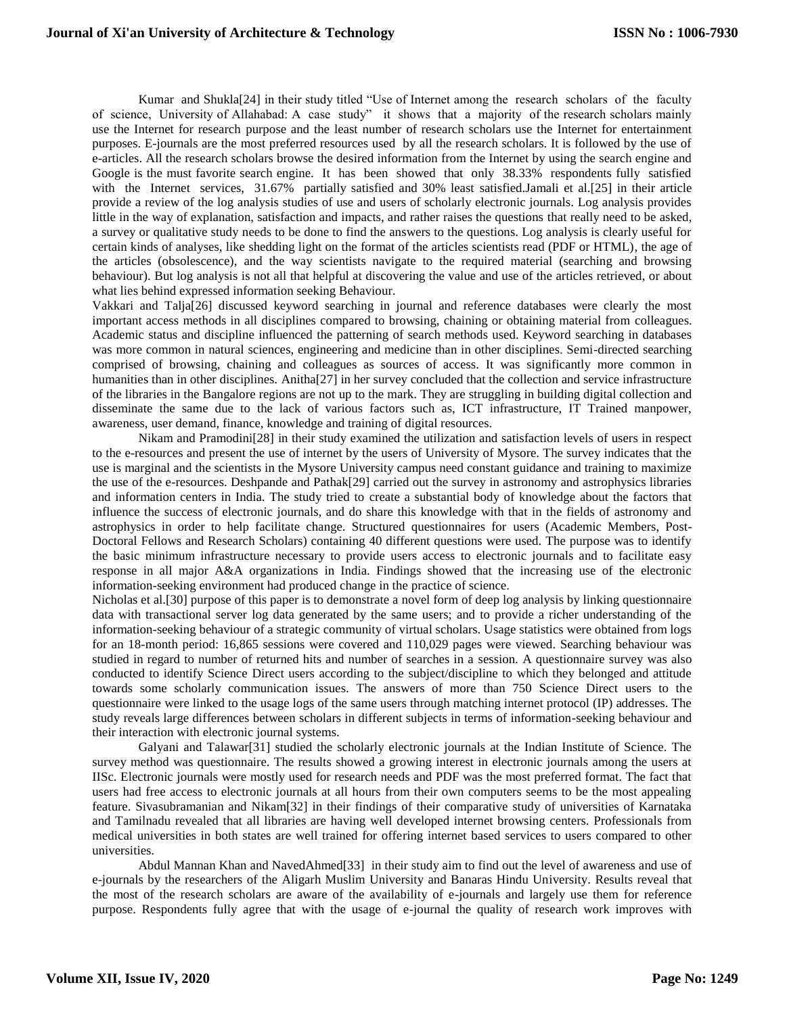Kumar and Shukla[24] in their study titled "Use of Internet among the research scholars of the faculty of science, University of Allahabad: A case study" it shows that a majority of the research scholars mainly use the Internet for research purpose and the least number of research scholars use the Internet for entertainment purposes. E-journals are the most preferred resources used by all the research scholars. It is followed by the use of e-articles. All the research scholars browse the desired information from the Internet by using the search engine and Google is the must favorite search engine. It has been showed that only 38.33% respondents fully satisfied with the Internet services, 31.67% partially satisfied and 30% least satisfied.Jamali et al.[25] in their article provide a review of the log analysis studies of use and users of scholarly electronic journals. Log analysis provides little in the way of explanation, satisfaction and impacts, and rather raises the questions that really need to be asked, a survey or qualitative study needs to be done to find the answers to the questions. Log analysis is clearly useful for certain kinds of analyses, like shedding light on the format of the articles scientists read (PDF or HTML), the age of the articles (obsolescence), and the way scientists navigate to the required material (searching and browsing behaviour). But log analysis is not all that helpful at discovering the value and use of the articles retrieved, or about what lies behind expressed information seeking Behaviour.

Vakkari and Talja[26] discussed keyword searching in journal and reference databases were clearly the most important access methods in all disciplines compared to browsing, chaining or obtaining material from colleagues. Academic status and discipline influenced the patterning of search methods used. Keyword searching in databases was more common in natural sciences, engineering and medicine than in other disciplines. Semi-directed searching comprised of browsing, chaining and colleagues as sources of access. It was significantly more common in humanities than in other disciplines. Anitha[27] in her survey concluded that the collection and service infrastructure of the libraries in the Bangalore regions are not up to the mark. They are struggling in building digital collection and disseminate the same due to the lack of various factors such as, ICT infrastructure, IT Trained manpower, awareness, user demand, finance, knowledge and training of digital resources.

Nikam and Pramodini[28] in their study examined the utilization and satisfaction levels of users in respect to the e-resources and present the use of internet by the users of University of Mysore. The survey indicates that the use is marginal and the scientists in the Mysore University campus need constant guidance and training to maximize the use of the e-resources. Deshpande and Pathak[29] carried out the survey in astronomy and astrophysics libraries and information centers in India. The study tried to create a substantial body of knowledge about the factors that influence the success of electronic journals, and do share this knowledge with that in the fields of astronomy and astrophysics in order to help facilitate change. Structured questionnaires for users (Academic Members, Post-Doctoral Fellows and Research Scholars) containing 40 different questions were used. The purpose was to identify the basic minimum infrastructure necessary to provide users access to electronic journals and to facilitate easy response in all major A&A organizations in India. Findings showed that the increasing use of the electronic information-seeking environment had produced change in the practice of science.

Nicholas et al.[30] purpose of this paper is to demonstrate a novel form of deep log analysis by linking questionnaire data with transactional server log data generated by the same users; and to provide a richer understanding of the information-seeking behaviour of a strategic community of virtual scholars. Usage statistics were obtained from logs for an 18-month period: 16,865 sessions were covered and 110,029 pages were viewed. Searching behaviour was studied in regard to number of returned hits and number of searches in a session. A questionnaire survey was also conducted to identify Science Direct users according to the subject/discipline to which they belonged and attitude towards some scholarly communication issues. The answers of more than 750 Science Direct users to the questionnaire were linked to the usage logs of the same users through matching internet protocol (IP) addresses. The study reveals large differences between scholars in different subjects in terms of information-seeking behaviour and their interaction with electronic journal systems.

Galyani and Talawar[31] studied the scholarly electronic journals at the Indian Institute of Science. The survey method was questionnaire. The results showed a growing interest in electronic journals among the users at IISc. Electronic journals were mostly used for research needs and PDF was the most preferred format. The fact that users had free access to electronic journals at all hours from their own computers seems to be the most appealing feature. Sivasubramanian and Nikam[32] in their findings of their comparative study of universities of Karnataka and Tamilnadu revealed that all libraries are having well developed internet browsing centers. Professionals from medical universities in both states are well trained for offering internet based services to users compared to other universities.

Abdul Mannan Khan and NavedAhmed[33] in their study aim to find out the level of awareness and use of e-journals by the researchers of the Aligarh Muslim University and Banaras Hindu University. Results reveal that the most of the research scholars are aware of the availability of e-journals and largely use them for reference purpose. Respondents fully agree that with the usage of e-journal the quality of research work improves with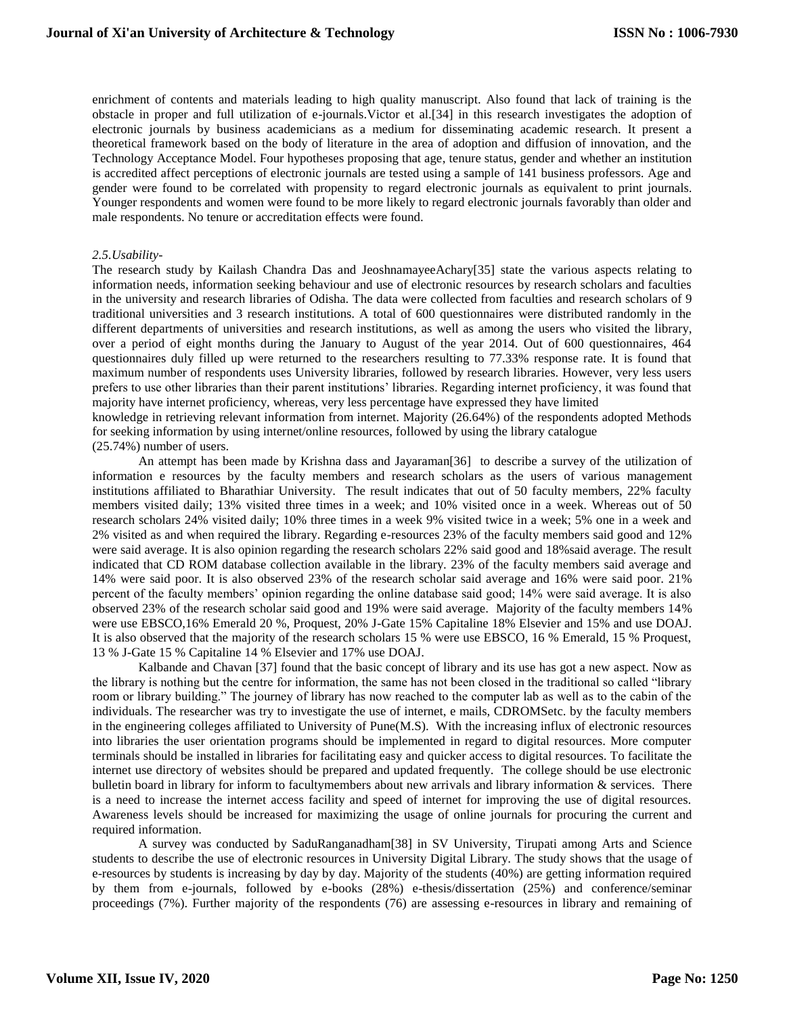enrichment of contents and materials leading to high quality manuscript. Also found that lack of training is the obstacle in proper and full utilization of e-journals.Victor et al.[34] in this research investigates the adoption of electronic journals by business academicians as a medium for disseminating academic research. It present a theoretical framework based on the body of literature in the area of adoption and diffusion of innovation, and the Technology Acceptance Model. Four hypotheses proposing that age, tenure status, gender and whether an institution is accredited affect perceptions of electronic journals are tested using a sample of 141 business professors. Age and gender were found to be correlated with propensity to regard electronic journals as equivalent to print journals. Younger respondents and women were found to be more likely to regard electronic journals favorably than older and male respondents. No tenure or accreditation effects were found.

#### *2.5.Usability-*

The research study by Kailash Chandra Das and JeoshnamayeeAchary[35] state the various aspects relating to information needs, information seeking behaviour and use of electronic resources by research scholars and faculties in the university and research libraries of Odisha. The data were collected from faculties and research scholars of 9 traditional universities and 3 research institutions. A total of 600 questionnaires were distributed randomly in the different departments of universities and research institutions, as well as among the users who visited the library, over a period of eight months during the January to August of the year 2014. Out of 600 questionnaires, 464 questionnaires duly filled up were returned to the researchers resulting to 77.33% response rate. It is found that maximum number of respondents uses University libraries, followed by research libraries. However, very less users prefers to use other libraries than their parent institutions' libraries. Regarding internet proficiency, it was found that majority have internet proficiency, whereas, very less percentage have expressed they have limited

knowledge in retrieving relevant information from internet. Majority (26.64%) of the respondents adopted Methods for seeking information by using internet/online resources, followed by using the library catalogue (25.74%) number of users.

An attempt has been made by Krishna dass and Jayaraman[36] to describe a survey of the utilization of information e resources by the faculty members and research scholars as the users of various management institutions affiliated to Bharathiar University. The result indicates that out of 50 faculty members, 22% faculty members visited daily; 13% visited three times in a week; and 10% visited once in a week. Whereas out of 50 research scholars 24% visited daily; 10% three times in a week 9% visited twice in a week; 5% one in a week and 2% visited as and when required the library. Regarding e-resources 23% of the faculty members said good and 12% were said average. It is also opinion regarding the research scholars 22% said good and 18%said average. The result indicated that CD ROM database collection available in the library. 23% of the faculty members said average and 14% were said poor. It is also observed 23% of the research scholar said average and 16% were said poor. 21% percent of the faculty members' opinion regarding the online database said good; 14% were said average. It is also observed 23% of the research scholar said good and 19% were said average. Majority of the faculty members 14% were use EBSCO,16% Emerald 20 %, Proquest, 20% J-Gate 15% Capitaline 18% Elsevier and 15% and use DOAJ. It is also observed that the majority of the research scholars 15 % were use EBSCO, 16 % Emerald, 15 % Proquest, 13 % J-Gate 15 % Capitaline 14 % Elsevier and 17% use DOAJ.

Kalbande and Chavan [37] found that the basic concept of library and its use has got a new aspect. Now as the library is nothing but the centre for information, the same has not been closed in the traditional so called "library room or library building." The journey of library has now reached to the computer lab as well as to the cabin of the individuals. The researcher was try to investigate the use of internet, e mails, CDROMSetc. by the faculty members in the engineering colleges affiliated to University of Pune(M.S). With the increasing influx of electronic resources into libraries the user orientation programs should be implemented in regard to digital resources. More computer terminals should be installed in libraries for facilitating easy and quicker access to digital resources. To facilitate the internet use directory of websites should be prepared and updated frequently. The college should be use electronic bulletin board in library for inform to facultymembers about new arrivals and library information & services. There is a need to increase the internet access facility and speed of internet for improving the use of digital resources. Awareness levels should be increased for maximizing the usage of online journals for procuring the current and required information.

A survey was conducted by SaduRanganadham[38] in SV University, Tirupati among Arts and Science students to describe the use of electronic resources in University Digital Library. The study shows that the usage of e-resources by students is increasing by day by day. Majority of the students (40%) are getting information required by them from e-journals, followed by e-books (28%) e-thesis/dissertation (25%) and conference/seminar proceedings (7%). Further majority of the respondents (76) are assessing e-resources in library and remaining of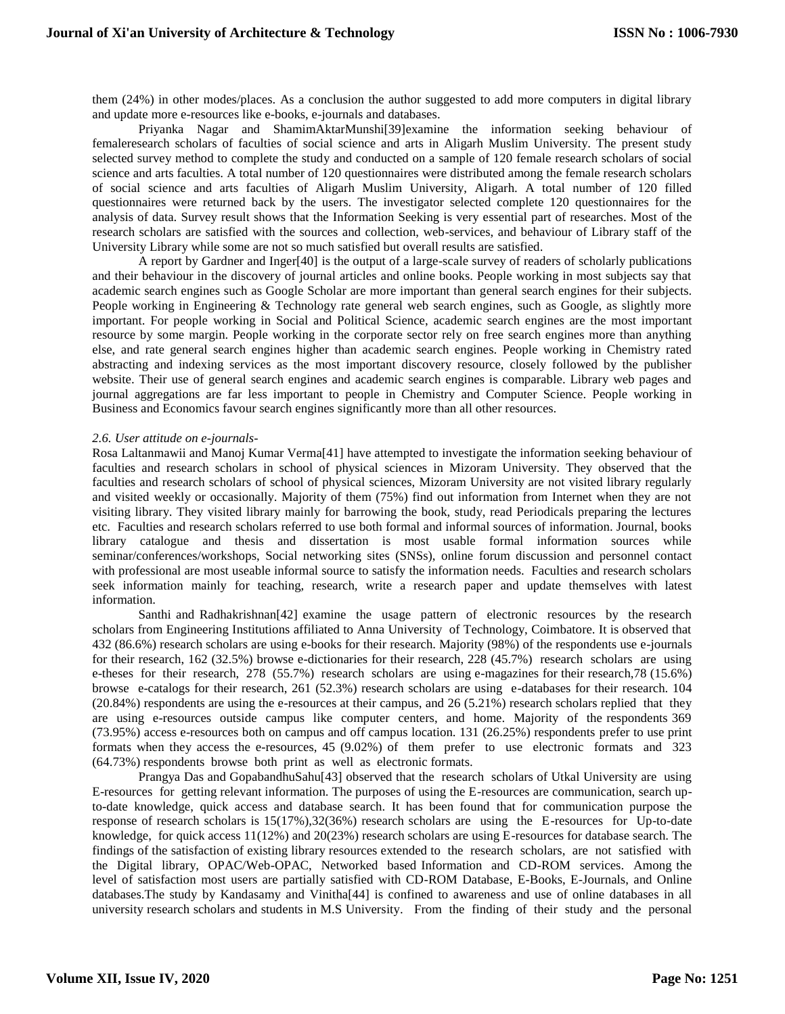them (24%) in other modes/places. As a conclusion the author suggested to add more computers in digital library and update more e-resources like e-books, e-journals and databases.

Priyanka Nagar and ShamimAktarMunshi[39]examine the information seeking behaviour of femaleresearch scholars of faculties of social science and arts in Aligarh Muslim University. The present study selected survey method to complete the study and conducted on a sample of 120 female research scholars of social science and arts faculties. A total number of 120 questionnaires were distributed among the female research scholars of social science and arts faculties of Aligarh Muslim University, Aligarh. A total number of 120 filled questionnaires were returned back by the users. The investigator selected complete 120 questionnaires for the analysis of data. Survey result shows that the Information Seeking is very essential part of researches. Most of the research scholars are satisfied with the sources and collection, web-services, and behaviour of Library staff of the University Library while some are not so much satisfied but overall results are satisfied.

A report by Gardner and Inger[40] is the output of a large-scale survey of readers of scholarly publications and their behaviour in the discovery of journal articles and online books. People working in most subjects say that academic search engines such as Google Scholar are more important than general search engines for their subjects. People working in Engineering & Technology rate general web search engines, such as Google, as slightly more important. For people working in Social and Political Science, academic search engines are the most important resource by some margin. People working in the corporate sector rely on free search engines more than anything else, and rate general search engines higher than academic search engines. People working in Chemistry rated abstracting and indexing services as the most important discovery resource, closely followed by the publisher website. Their use of general search engines and academic search engines is comparable. Library web pages and journal aggregations are far less important to people in Chemistry and Computer Science. People working in Business and Economics favour search engines significantly more than all other resources.

#### *2.6. User attitude on e-journals-*

Rosa Laltanmawii and Manoj Kumar Verma[41] have attempted to investigate the information seeking behaviour of faculties and research scholars in school of physical sciences in Mizoram University. They observed that the faculties and research scholars of school of physical sciences, Mizoram University are not visited library regularly and visited weekly or occasionally. Majority of them (75%) find out information from Internet when they are not visiting library. They visited library mainly for barrowing the book, study, read Periodicals preparing the lectures etc. Faculties and research scholars referred to use both formal and informal sources of information. Journal, books library catalogue and thesis and dissertation is most usable formal information sources while seminar/conferences/workshops, Social networking sites (SNSs), online forum discussion and personnel contact with professional are most useable informal source to satisfy the information needs. Faculties and research scholars seek information mainly for teaching, research, write a research paper and update themselves with latest information.

Santhi and Radhakrishnan[42] examine the usage pattern of electronic resources by the research scholars from Engineering Institutions affiliated to Anna University of Technology, Coimbatore. It is observed that 432 (86.6%) research scholars are using e-books for their research. Majority (98%) of the respondents use e-journals for their research, 162 (32.5%) browse e-dictionaries for their research, 228 (45.7%) research scholars are using e-theses for their research, 278 (55.7%) research scholars are using e-magazines for their research,78 (15.6%) browse e-catalogs for their research, 261 (52.3%) research scholars are using e-databases for their research. 104 (20.84%) respondents are using the e-resources at their campus, and 26 (5.21%) research scholars replied that they are using e-resources outside campus like computer centers, and home. Majority of the respondents 369 (73.95%) access e-resources both on campus and off campus location. 131 (26.25%) respondents prefer to use print formats when they access the e-resources, 45 (9.02%) of them prefer to use electronic formats and 323 (64.73%) respondents browse both print as well as electronic formats.

Prangya Das and GopabandhuSahu[43] observed that the research scholars of Utkal University are using E-resources for getting relevant information. The purposes of using the E-resources are communication, search upto-date knowledge, quick access and database search. It has been found that for communication purpose the response of research scholars is 15(17%),32(36%) research scholars are using the E-resources for Up-to-date knowledge, for quick access 11(12%) and 20(23%) research scholars are using E-resources for database search. The findings of the satisfaction of existing library resources extended to the research scholars, are not satisfied with the Digital library, OPAC/Web-OPAC, Networked based Information and CD-ROM services. Among the level of satisfaction most users are partially satisfied with CD-ROM Database, E-Books, E-Journals, and Online databases.The study by Kandasamy and Vinitha[44] is confined to awareness and use of online databases in all university research scholars and students in M.S University. From the finding of their study and the personal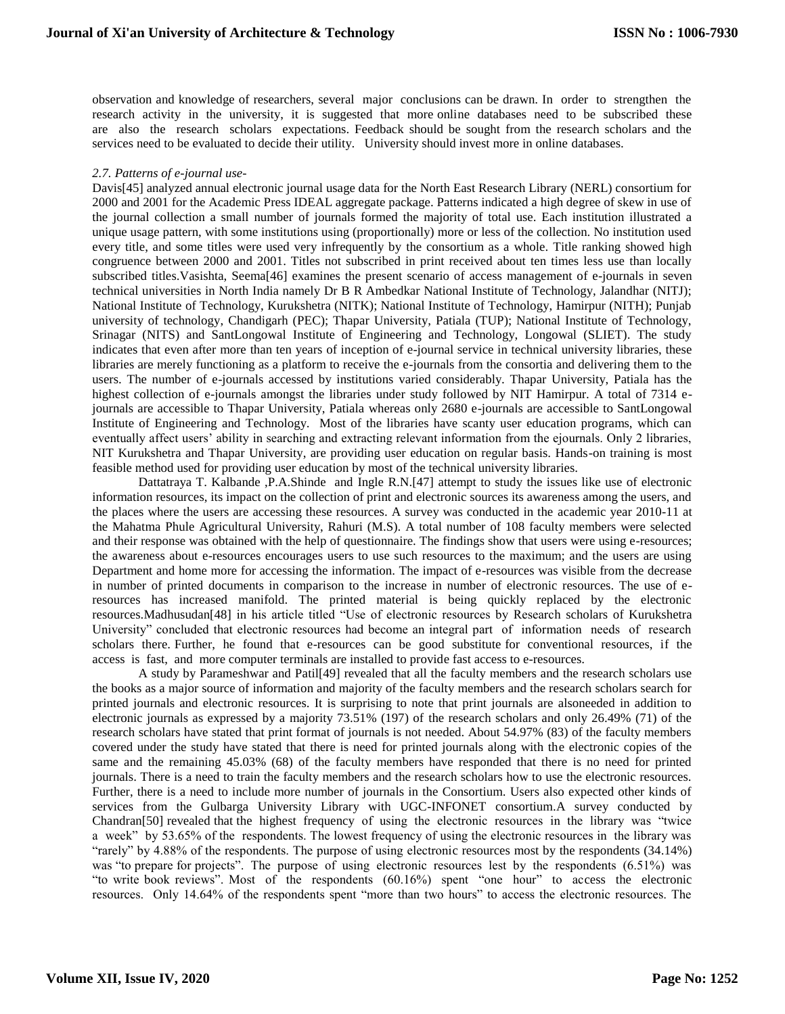observation and knowledge of researchers, several major conclusions can be drawn. In order to strengthen the research activity in the university, it is suggested that more online databases need to be subscribed these are also the research scholars expectations. Feedback should be sought from the research scholars and the services need to be evaluated to decide their utility. University should invest more in online databases.

#### *2.7. Patterns of e-journal use-*

Davis[45] analyzed annual electronic journal usage data for the North East Research Library (NERL) consortium for 2000 and 2001 for the Academic Press IDEAL aggregate package. Patterns indicated a high degree of skew in use of the journal collection a small number of journals formed the majority of total use. Each institution illustrated a unique usage pattern, with some institutions using (proportionally) more or less of the collection. No institution used every title, and some titles were used very infrequently by the consortium as a whole. Title ranking showed high congruence between 2000 and 2001. Titles not subscribed in print received about ten times less use than locally subscribed titles.Vasishta, Seema[46] examines the present scenario of access management of e-journals in seven technical universities in North India namely Dr B R Ambedkar National Institute of Technology, Jalandhar (NITJ); National Institute of Technology, Kurukshetra (NITK); National Institute of Technology, Hamirpur (NITH); Punjab university of technology, Chandigarh (PEC); Thapar University, Patiala (TUP); National Institute of Technology, Srinagar (NITS) and SantLongowal Institute of Engineering and Technology, Longowal (SLIET). The study indicates that even after more than ten years of inception of e-journal service in technical university libraries, these libraries are merely functioning as a platform to receive the e-journals from the consortia and delivering them to the users. The number of e-journals accessed by institutions varied considerably. Thapar University, Patiala has the highest collection of e-journals amongst the libraries under study followed by NIT Hamirpur. A total of 7314 ejournals are accessible to Thapar University, Patiala whereas only 2680 e-journals are accessible to SantLongowal Institute of Engineering and Technology. Most of the libraries have scanty user education programs, which can eventually affect users' ability in searching and extracting relevant information from the ejournals. Only 2 libraries, NIT Kurukshetra and Thapar University, are providing user education on regular basis. Hands-on training is most feasible method used for providing user education by most of the technical university libraries.

Dattatraya T. Kalbande ,P.A.Shinde and Ingle R.N.[47] attempt to study the issues like use of electronic information resources, its impact on the collection of print and electronic sources its awareness among the users, and the places where the users are accessing these resources. A survey was conducted in the academic year 2010-11 at the Mahatma Phule Agricultural University, Rahuri (M.S). A total number of 108 faculty members were selected and their response was obtained with the help of questionnaire. The findings show that users were using e-resources; the awareness about e-resources encourages users to use such resources to the maximum; and the users are using Department and home more for accessing the information. The impact of e-resources was visible from the decrease in number of printed documents in comparison to the increase in number of electronic resources. The use of eresources has increased manifold. The printed material is being quickly replaced by the electronic resources.Madhusudan[48] in his article titled "Use of electronic resources by Research scholars of Kurukshetra University" concluded that electronic resources had become an integral part of information needs of research scholars there. Further, he found that e-resources can be good substitute for conventional resources, if the access is fast, and more computer terminals are installed to provide fast access to e-resources.

A study by Parameshwar and Patil[49] revealed that all the faculty members and the research scholars use the books as a major source of information and majority of the faculty members and the research scholars search for printed journals and electronic resources. It is surprising to note that print journals are alsoneeded in addition to electronic journals as expressed by a majority 73.51% (197) of the research scholars and only 26.49% (71) of the research scholars have stated that print format of journals is not needed. About 54.97% (83) of the faculty members covered under the study have stated that there is need for printed journals along with the electronic copies of the same and the remaining 45.03% (68) of the faculty members have responded that there is no need for printed journals. There is a need to train the faculty members and the research scholars how to use the electronic resources. Further, there is a need to include more number of journals in the Consortium. Users also expected other kinds of services from the Gulbarga University Library with UGC-INFONET consortium.A survey conducted by Chandran[50] revealed that the highest frequency of using the electronic resources in the library was "twice a week" by 53.65% of the respondents. The lowest frequency of using the electronic resources in the library was "rarely" by 4.88% of the respondents. The purpose of using electronic resources most by the respondents (34.14%) was "to prepare for projects". The purpose of using electronic resources lest by the respondents (6.51%) was "to write book reviews". Most of the respondents (60.16%) spent "one hour" to access the electronic resources. Only 14.64% of the respondents spent "more than two hours" to access the electronic resources. The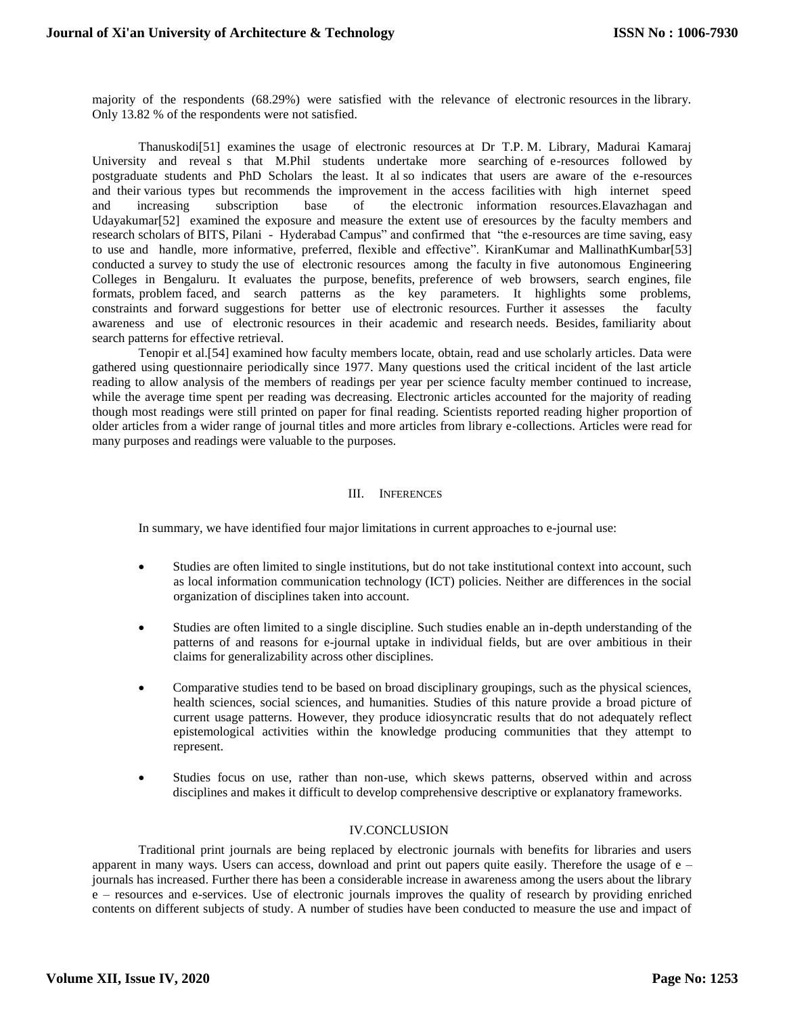majority of the respondents (68.29%) were satisfied with the relevance of electronic resources in the library. Only 13.82 % of the respondents were not satisfied.

Thanuskodi[51] examines the usage of electronic resources at Dr T.P. M. Library, Madurai Kamaraj University and reveal s that M.Phil students undertake more searching of e-resources followed by postgraduate students and PhD Scholars the least. It al so indicates that users are aware of the e-resources and their various types but recommends the improvement in the access facilities with high internet speed and increasing subscription base of the electronic information resources.Elavazhagan and Udayakumar[52] examined the exposure and measure the extent use of eresources by the faculty members and research scholars of BITS, Pilani - Hyderabad Campus" and confirmed that "the e-resources are time saving, easy to use and handle, more informative, preferred, flexible and effective". KiranKumar and MallinathKumbar[53] conducted a survey to study the use of electronic resources among the faculty in five autonomous Engineering Colleges in Bengaluru. It evaluates the purpose, benefits, preference of web browsers, search engines, file formats, problem faced, and search patterns as the key parameters. It highlights some problems, constraints and forward suggestions for better use of electronic resources. Further it assesses the faculty awareness and use of electronic resources in their academic and research needs. Besides, familiarity about search patterns for effective retrieval.

Tenopir et al.[54] examined how faculty members locate, obtain, read and use scholarly articles. Data were gathered using questionnaire periodically since 1977. Many questions used the critical incident of the last article reading to allow analysis of the members of readings per year per science faculty member continued to increase, while the average time spent per reading was decreasing. Electronic articles accounted for the majority of reading though most readings were still printed on paper for final reading. Scientists reported reading higher proportion of older articles from a wider range of journal titles and more articles from library e-collections. Articles were read for many purposes and readings were valuable to the purposes.

## III. INFERENCES

In summary, we have identified four major limitations in current approaches to e-journal use:

- Studies are often limited to single institutions, but do not take institutional context into account, such as local information communication technology (ICT) policies. Neither are differences in the social organization of disciplines taken into account.
- Studies are often limited to a single discipline. Such studies enable an in-depth understanding of the patterns of and reasons for e-journal uptake in individual fields, but are over ambitious in their claims for generalizability across other disciplines.
- Comparative studies tend to be based on broad disciplinary groupings, such as the physical sciences, health sciences, social sciences, and humanities. Studies of this nature provide a broad picture of current usage patterns. However, they produce idiosyncratic results that do not adequately reflect epistemological activities within the knowledge producing communities that they attempt to represent.
- Studies focus on use, rather than non-use, which skews patterns, observed within and across disciplines and makes it difficult to develop comprehensive descriptive or explanatory frameworks.

## IV.CONCLUSION

Traditional print journals are being replaced by electronic journals with benefits for libraries and users apparent in many ways. Users can access, download and print out papers quite easily. Therefore the usage of e – journals has increased. Further there has been a considerable increase in awareness among the users about the library e – resources and e-services. Use of electronic journals improves the quality of research by providing enriched contents on different subjects of study. A number of studies have been conducted to measure the use and impact of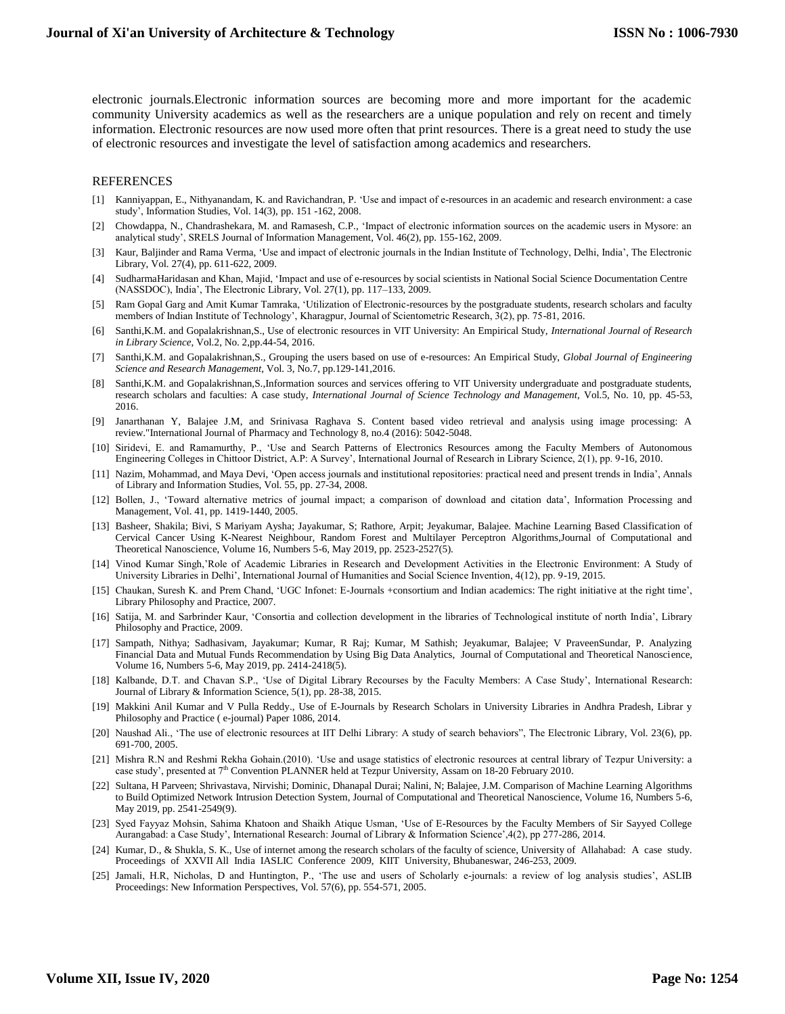electronic journals.Electronic information sources are becoming more and more important for the academic community University academics as well as the researchers are a unique population and rely on recent and timely information. Electronic resources are now used more often that print resources. There is a great need to study the use of electronic resources and investigate the level of satisfaction among academics and researchers.

#### REFERENCES

- [1] Kanniyappan, E., Nithyanandam, K. and Ravichandran, P. 'Use and impact of e-resources in an academic and research environment: a case study', Information Studies, Vol. 14(3), pp. 151 -162, 2008.
- [2] Chowdappa, N., Chandrashekara, M. and Ramasesh, C.P., 'Impact of electronic information sources on the academic users in Mysore: an analytical study', SRELS Journal of Information Management, Vol. 46(2), pp. 155-162, 2009.
- [3] Kaur, Baljinder and Rama Verma, 'Use and impact of electronic journals in the Indian Institute of Technology, Delhi, India', The Electronic Library, Vol. 27(4), pp. 611-622, 2009.
- [4] SudharmaHaridasan and Khan, Majid, 'Impact and use of e-resources by social scientists in National Social Science Documentation Centre (NASSDOC), India', The Electronic Library, Vol. 27(1), pp. 117–133, 2009.
- [5] Ram Gopal Garg and Amit Kumar Tamraka, 'Utilization of Electronic-resources by the postgraduate students, research scholars and faculty members of Indian Institute of Technology', Kharagpur, Journal of Scientometric Research, 3(2), pp. 75-81, 2016.
- [6] Santhi,K.M. and Gopalakrishnan,S., Use of electronic resources in VIT University: An Empirical Study, *International Journal of Research in Library Science*, Vol.2, No. 2,pp.44-54, 2016.
- [7] Santhi,K.M. and Gopalakrishnan,S.*,* Grouping the users based on use of e-resources: An Empirical Study, *Global Journal of Engineering Science and Research Management*, Vol. 3, No.7, pp.129-141,2016.
- [8] Santhi,K.M. and Gopalakrishnan,S.,Information sources and services offering to VIT University undergraduate and postgraduate students, research scholars and faculties: A case study, *International Journal of Science Technology and Management,* Vol.5, No. 10, pp. 45-53, 2016.
- [9] Janarthanan Y, Balajee J.M, and Srinivasa Raghava S. Content based video retrieval and analysis using image processing: A review."International Journal of Pharmacy and Technology 8, no.4 (2016): 5042-5048.
- [10] Siridevi, E. and Ramamurthy, P., 'Use and Search Patterns of Electronics Resources among the Faculty Members of Autonomous Engineering Colleges in Chittoor District, A.P: A Survey', International Journal of Research in Library Science, 2(1), pp. 9-16, 2010.
- [11] Nazim, Mohammad, and Maya Devi, 'Open access journals and institutional repositories: practical need and present trends in India', Annals of Library and Information Studies, Vol. 55, pp. 27-34, 2008.
- [12] Bollen, J., 'Toward alternative metrics of journal impact; a comparison of download and citation data', Information Processing and Management, Vol. 41, pp. 1419-1440, 2005.
- [13] Basheer, Shakila; Bivi, S Mariyam Aysha; Jayakumar, S; Rathore, Arpit; Jeyakumar, Balajee. Machine Learning Based Classification of Cervical Cancer Using K-Nearest Neighbour, Random Forest and Multilayer Perceptron Algorithms,Journal of Computational and Theoretical Nanoscience, Volume 16, Numbers 5-6, May 2019, pp. 2523-2527(5).
- [14] Vinod Kumar Singh,'Role of Academic Libraries in Research and Development Activities in the Electronic Environment: A Study of University Libraries in Delhi', International Journal of Humanities and Social Science Invention, 4(12), pp. 9-19, 2015.
- [15] Chaukan, Suresh K. and Prem Chand, 'UGC Infonet: E-Journals +consortium and Indian academics: The right initiative at the right time', Library Philosophy and Practice, 2007.
- [16] Satija, M. and Sarbrinder Kaur, 'Consortia and collection development in the libraries of Technological institute of north India', Library Philosophy and Practice, 2009.
- [17] Sampath, Nithya; Sadhasivam, Jayakumar; Kumar, R Raj; Kumar, M Sathish; Jeyakumar, Balajee; V PraveenSundar, P. Analyzing Financial Data and Mutual Funds Recommendation by Using Big Data Analytics, Journal of Computational and Theoretical Nanoscience, Volume 16, Numbers 5-6, May 2019, pp. 2414-2418(5).
- [18] Kalbande, D.T. and Chavan S.P., 'Use of Digital Library Recourses by the Faculty Members: A Case Study', International Research: Journal of Library & Information Science, 5(1), pp. 28-38, 2015.
- [19] Makkini Anil Kumar and V Pulla Reddy., Use of E-Journals by Research Scholars in University Libraries in Andhra Pradesh, Librar y Philosophy and Practice ( e-journal) Paper 1086, 2014.
- [20] Naushad Ali., 'The use of electronic resources at IIT Delhi Library: A study of search behaviors", The Electronic Library, Vol. 23(6), pp. 691-700, 2005.
- [21] Mishra R.N and Reshmi Rekha Gohain.(2010). 'Use and usage statistics of electronic resources at central library of Tezpur University: a case study', presented at 7<sup>th</sup> Convention PLANNER held at Tezpur University, Assam on 18-20 February 2010.
- [22] Sultana, H Parveen; Shrivastava, Nirvishi; Dominic, Dhanapal Durai; Nalini, N; Balajee, J.M. Comparison of Machine Learning Algorithms to Build Optimized Network Intrusion Detection System, Journal of Computational and Theoretical Nanoscience, Volume 16, Numbers 5-6, May 2019, pp. 2541-2549(9).
- [23] Syed Fayyaz Mohsin, Sahima Khatoon and Shaikh Atique Usman, 'Use of E-Resources by the Faculty Members of Sir Sayyed College Aurangabad: a Case Study', International Research: Journal of Library & Information Science',4(2), pp 277-286, 2014.
- [24] Kumar, D., & Shukla, S. K., Use of internet among the research scholars of the faculty of science, University of Allahabad: A case study. Proceedings of XXVII All India IASLIC Conference 2009, KIIT University, Bhubaneswar, 246-253, 2009.
- [25] Jamali, H.R, Nicholas, D and Huntington, P., 'The use and users of Scholarly e-journals: a review of log analysis studies', ASLIB Proceedings: New Information Perspectives, Vol. 57(6), pp. 554-571, 2005.